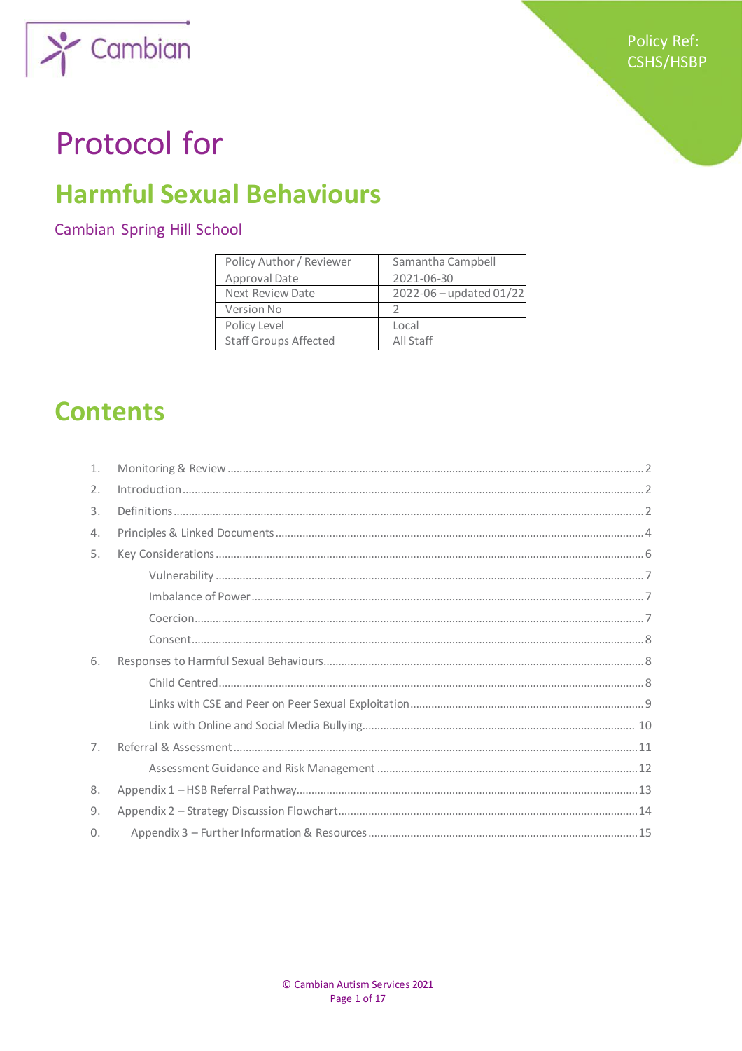

# **Protocol for**

# **Harmful Sexual Behaviours**

## **Cambian Spring Hill School**

| Policy Author / Reviewer     | Samantha Campbell       |
|------------------------------|-------------------------|
| Approval Date                | 2021-06-30              |
| Next Review Date             | 2022-06 - updated 01/22 |
| <b>Version No</b>            |                         |
| Policy Level                 | Local                   |
| <b>Staff Groups Affected</b> | All Staff               |

# **Contents**

| 1.             |  |
|----------------|--|
| 2.             |  |
| 3.             |  |
| 4.             |  |
| 5.             |  |
|                |  |
|                |  |
|                |  |
|                |  |
| 6.             |  |
|                |  |
|                |  |
|                |  |
| 7 <sub>1</sub> |  |
|                |  |
| 8.             |  |
| 9.             |  |
| $\Omega$ .     |  |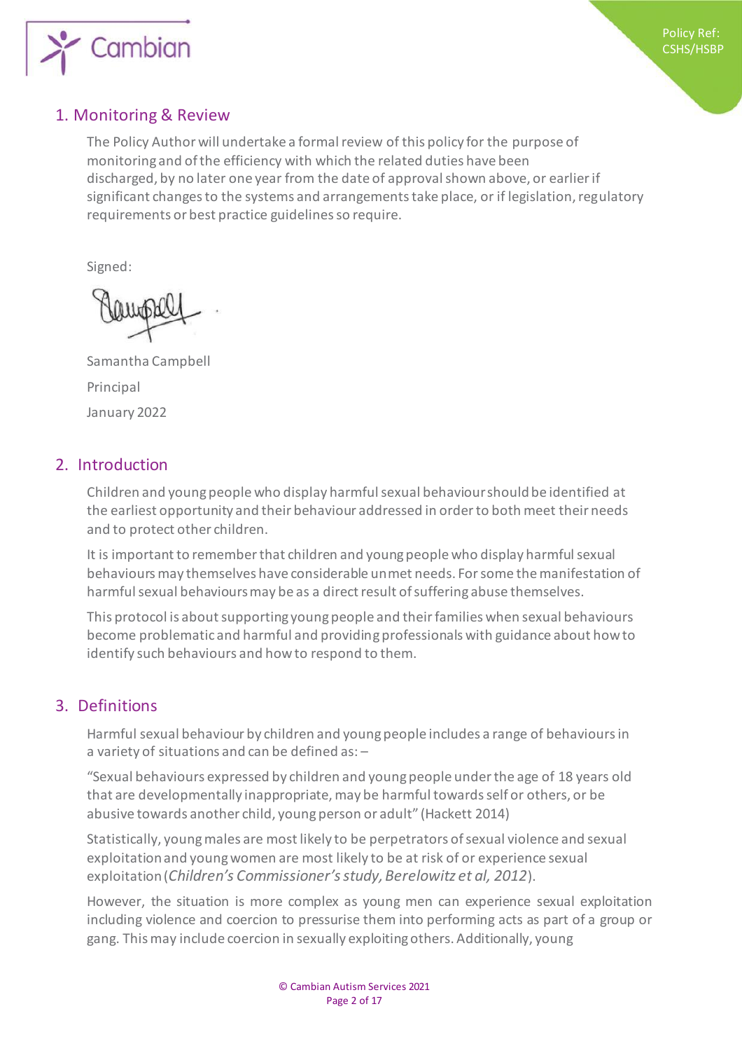

## 1. Monitoring & Review

The Policy Author will undertake a formal review of this policy for the purpose of monitoring and of the efficiency with which the related duties have been discharged, by no later one year from the date of approval shown above, or earlier if significant changes to the systems and arrangements take place, or if legislation, regulatory requirements or best practice guidelines so require.

Signed:

Samantha Campbell Principal January 2022

## 2. Introduction

Children and young people who display harmful sexual behaviour should be identified at the earliest opportunity and their behaviour addressed in order to both meet their needs and to protect other children.

It is important to remember that children and young people who display harmful sexual behaviours may themselves have considerable unmet needs. For some the manifestation of harmful sexual behaviours may be as a direct result of suffering abuse themselves.

This protocol is about supporting young people and their families when sexual behaviours become problematic and harmful and providing professionals with guidance about how to identify such behaviours and how to respond to them.

## 3. Definitions

Harmful sexual behaviour by children and young people includes a range of behaviours in a variety of situations and can be defined as: –

"Sexual behaviours expressed by children and young people under the age of 18 years old that are developmentally inappropriate, may be harmful towards self or others, or be abusive towards another child, young person or adult" (Hackett 2014)

Statistically, young males are most likely to be perpetrators of sexual violence and sexual exploitation and young women are most likely to be at risk of or experience sexual exploitation (*Children's Commissioner's study, Berelowitz et al, 2012*).

However, the situation is more complex as young men can experience sexual exploitation including violence and coercion to pressurise them into performing acts as part of a group or gang. This may include coercion in sexually exploiting others. Additionally, young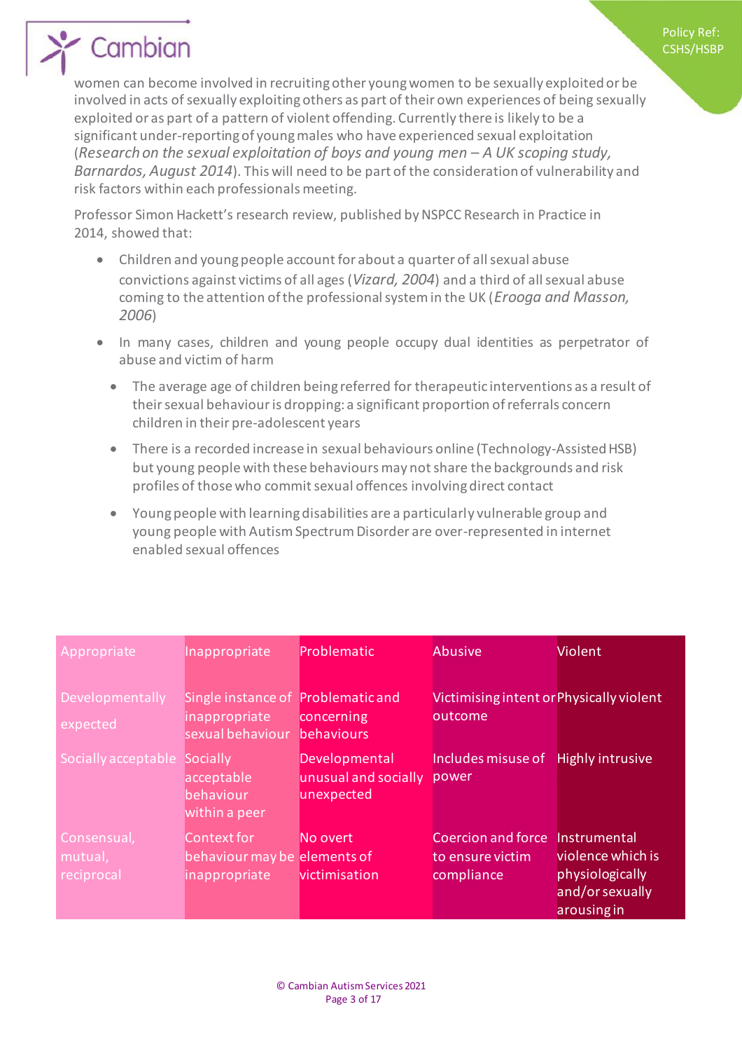women can become involved in recruiting other young women to be sexually exploited or be involved in acts of sexually exploiting others as part of their own experiences of being sexually exploited or as part of a pattern of violent offending. Currently there is likely to be a significant under-reporting of young males who have experienced sexual exploitation (*Research on the sexual exploitation of boys and young men – A UK scoping study, Barnardos, August 2014*). This will need to be part of the consideration of vulnerability and risk factors within each professionals meeting.

Professor Simon Hackett's research review, published by NSPCC Research in Practice in 2014, showed that:

- Children and young people account for about a quarter of all sexual abuse convictions against victims of all ages (*Vizard, 2004*) and a third of all sexual abuse coming to the attention of the professional system in the UK (*Erooga and Masson, 2006*)
- In many cases, children and young people occupy dual identities as perpetrator of abuse and victim of harm
	- The average age of children being referred for therapeutic interventions as a result of their sexual behaviour is dropping: a significant proportion of referrals concern children in their pre-adolescent years
	- There is a recorded increase in sexual behaviours online (Technology-Assisted HSB) but young people with these behaviours may not share the backgrounds and risk profiles of those who commit sexual offences involving direct contact
	- Young people with learning disabilities are a particularly vulnerable group and young people with Autism Spectrum Disorder are over-represented in internet enabled sexual offences

| Appropriate                          | Inappropriate                                                | Problematic                                         | Abusive                                                     | Violent                                                                                |
|--------------------------------------|--------------------------------------------------------------|-----------------------------------------------------|-------------------------------------------------------------|----------------------------------------------------------------------------------------|
| Developmentally<br>expected          | Single instance of<br>inappropriate<br>sexual behaviour      | Problematic and<br>concerning<br>behaviours         | Victimising intent or Physically violent<br>outcome         |                                                                                        |
| Socially acceptable                  | Socially<br>acceptable<br>behaviour<br>within a peer         | Developmental<br>unusual and socially<br>unexpected | Includes misuse of<br>power                                 | <b>Highly intrusive</b>                                                                |
| Consensual,<br>mutual,<br>reciprocal | Context for<br>behaviour may be elements of<br>inappropriate | No overt<br>victimisation                           | <b>Coercion and force</b><br>to ensure victim<br>compliance | Instrumental<br>violence which is<br>physiologically<br>and/or sexually<br>arousing in |

Policy Ref: CSHS/HSBP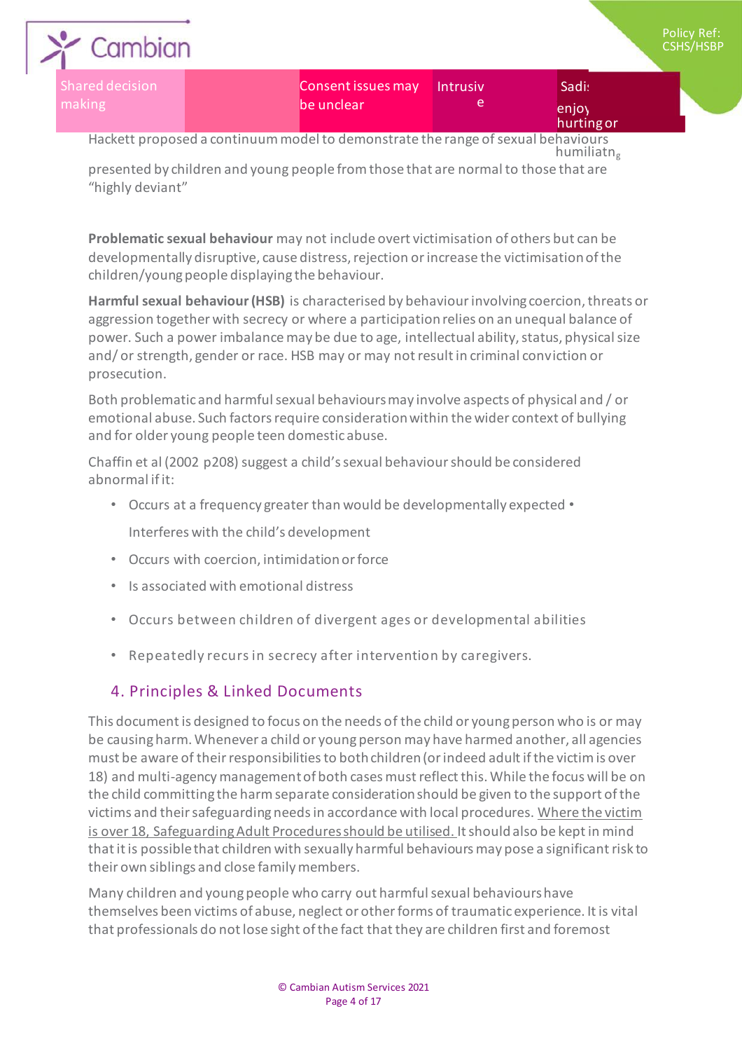| Cambian                   |                                  |          |                              |
|---------------------------|----------------------------------|----------|------------------------------|
| Shared decision<br>making | Consent issues may<br>be unclear | Intrusiv | Sadi:<br>enjoy<br>hurting or |

plicy Ref:  $SHS/HSBP$ 

Hackett proposed a continuum model to demonstrate the range of sexual behaviours humiliatn<sup>g</sup>

presented by children and young people from those that are normal to those that are "highly deviant"

**Problematic sexual behaviour** may not include overt victimisation of others but can be developmentally disruptive, cause distress, rejection or increase the victimisation of the children/young people displaying the behaviour.

**Harmful sexual behaviour (HSB)** is characterised by behaviour involving coercion, threats or aggression together with secrecy or where a participation relies on an unequal balance of power. Such a power imbalance may be due to age, intellectual ability, status, physical size and/ or strength, gender or race. HSB may or may not result in criminal conviction or prosecution.

Both problematic and harmful sexual behaviours may involve aspects of physical and / or emotional abuse. Such factors require consideration within the wider context of bullying and for older young people teen domestic abuse.

Chaffin et al (2002 p208) suggest a child's sexual behaviour should be considered abnormal if it:

- Occurs at a frequency greater than would be developmentally expected Interferes with the child's development
- Occurs with coercion, intimidation or force
- Is associated with emotional distress
- Occurs between children of divergent ages or developmental abilities
- Repeatedly recurs in secrecy after intervention by caregivers.

# 4. Principles & Linked Documents

This document is designed to focus on the needs of the child or young person who is or may be causing harm. Whenever a child or young person may have harmed another, all agencies must be aware of their responsibilities to both children (or indeed adult if the victim is over 18) and multi-agency management of both cases must reflect this. While the focus will be on the child committing the harm separate consideration should be given to the support of the victims and their safeguarding needs in accordance with local procedures. Where the victim is over 18, Safeguarding Adult Procedures should be utilised. It should also be kept in mind that it is possible that children with sexually harmful behaviours may pose a significant risk to their own siblings and close family members.

Many children and young people who carry out harmful sexual behaviours have themselves been victims of abuse, neglect or other forms of traumatic experience. It is vital that professionals do not lose sight of the fact that they are children first and foremost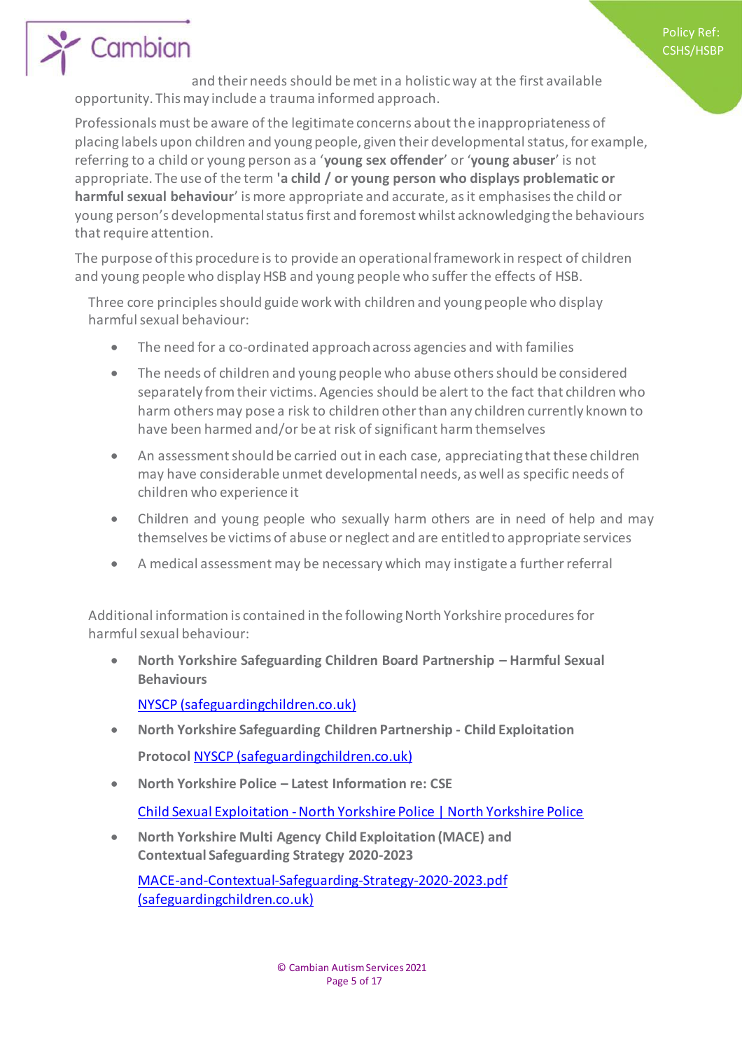Policy Ref: CSHS/HSBP

# Cambian

and their needs should be met in a holistic way at the first available opportunity. This may include a trauma informed approach.

Professionals must be aware of the legitimate concerns about the inappropriateness of placing labels upon children and young people, given their developmental status, for example, referring to a child or young person as a '**young sex offender**' or '**young abuser**' is not appropriate. The use of the term **'a child / or young person who displays problematic or harmful sexual behaviour**' is more appropriate and accurate, as it emphasises the child or young person's developmental status first and foremost whilst acknowledging the behaviours that require attention.

The purpose of this procedure is to provide an operational framework in respect of children and young people who display HSB and young people who suffer the effects of HSB.

Three core principles should guide work with children and young people who display harmful sexual behaviour:

- The need for a co-ordinated approach across agencies and with families
- The needs of children and young people who abuse others should be considered separately from their victims. Agencies should be alert to the fact that children who harm others may pose a risk to children other than any children currently known to have been harmed and/or be at risk of significant harm themselves
- An assessment should be carried out in each case, appreciating that these children may have considerable unmet developmental needs, as well as specific needs of children who experience it
- Children and young people who sexually harm others are in need of help and may themselves be victims of abuse or neglect and are entitled to appropriate services
- A medical assessment may be necessary which may instigate a further referral

Additional information is contained in the following North Yorkshire procedures for harmful sexual behaviour:

 **North Yorkshire Safeguarding Children Board Partnership – Harmful Sexual Behaviours**

NYSCP [\(safeguardingchildren.co.uk](http://safeguardingchildren.co.uk/))

- **North Yorkshire Safeguarding Children Partnership - Child Exploitation Protocol** NYSCP [\(safeguardingchildren.co.uk](http://safeguardingchildren.co.uk/))
- **North Yorkshire Police – Latest Information re: CSE**

Child Sexual Exploitation -North Yorkshire Police | North Yorkshire Police

 **North Yorkshire Multi Agency Child Exploitation (MACE) and Contextual Safeguarding Strategy 2020-2023**

MACE-and-Contextual-Safeguarding-Strategy-2020-2023.pdf [\(safeguardingchildren.co.uk](http://safeguardingchildren.co.uk/))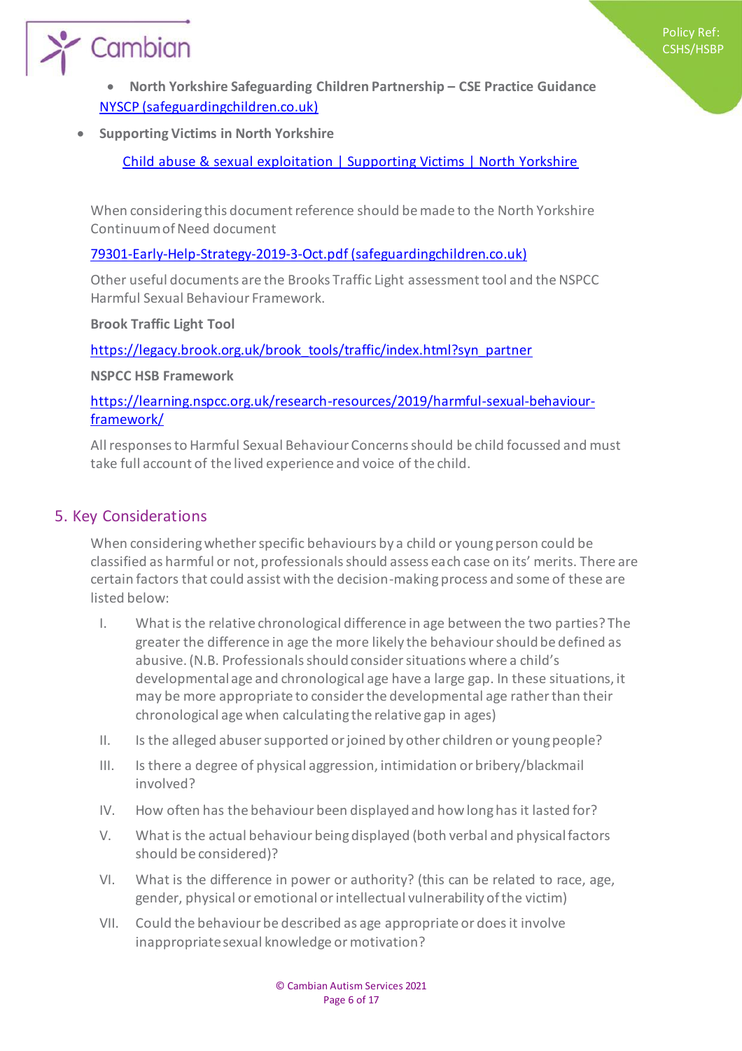

 **North Yorkshire Safeguarding Children Partnership – CSE Practice Guidance**  NYSCP [\(safeguardingchildren.co.uk\)](http://safeguardingchildren.co.uk/)

**Supporting Victims in North Yorkshire**

Child abuse & sexual exploitation | Supporting Victims | North Yorkshire

When considering this document reference should be made to the North Yorkshire Continuum of Need document

#### 79301-Early-Help-Strategy-2019-3-Oct.pdf [\(safeguardingchildren.co.uk](http://safeguardingchildren.co.uk/))

Other useful documents are the Brooks Traffic Light assessment tool and the NSPCC Harmful Sexual Behaviour Framework.

**Brook Traffic Light Tool**

[https://legacy.brook.org.uk/brook\\_tools/traffic/index.html?syn\\_partner](https://legacy.brook.org.uk/brook_tools/traffic/index.html?syn_partner)

**NSPCC HSB Framework**

[https://learning.nspcc.org.uk/research-resources/2019/harmful-sexual-behaviour](https://learning.nspcc.org.uk/research-resources/2019/harmful-sexual-behaviour-framework/)[framework/](https://learning.nspcc.org.uk/research-resources/2019/harmful-sexual-behaviour-framework/)

All responses to Harmful Sexual Behaviour Concerns should be child focussed and must take full account of the lived experience and voice of the child.

### 5. Key Considerations

When considering whether specific behaviours by a child or young person could be classified as harmful or not, professionals should assess each case on its' merits. There are certain factors that could assist with the decision-making process and some of these are listed below:

- I. What is the relative chronological difference in age between the two parties? The greater the difference in age the more likely the behaviour should be defined as abusive. (N.B. Professionals should consider situations where a child's developmental age and chronological age have a large gap. In these situations, it may be more appropriate to consider the developmental age rather than their chronological age when calculating the relative gap in ages)
- II. Is the alleged abuser supported or joined by other children or young people?
- III. Is there a degree of physical aggression, intimidation or bribery/blackmail involved?
- IV. How often has the behaviour been displayed and how long has it lasted for?
- V. What is the actual behaviour being displayed (both verbal and physical factors should be considered)?
- VI. What is the difference in power or authority? (this can be related to race, age, gender, physical or emotional or intellectual vulnerability of the victim)
- VII. Could the behaviour be described as age appropriate or does it involve inappropriate sexual knowledge or motivation?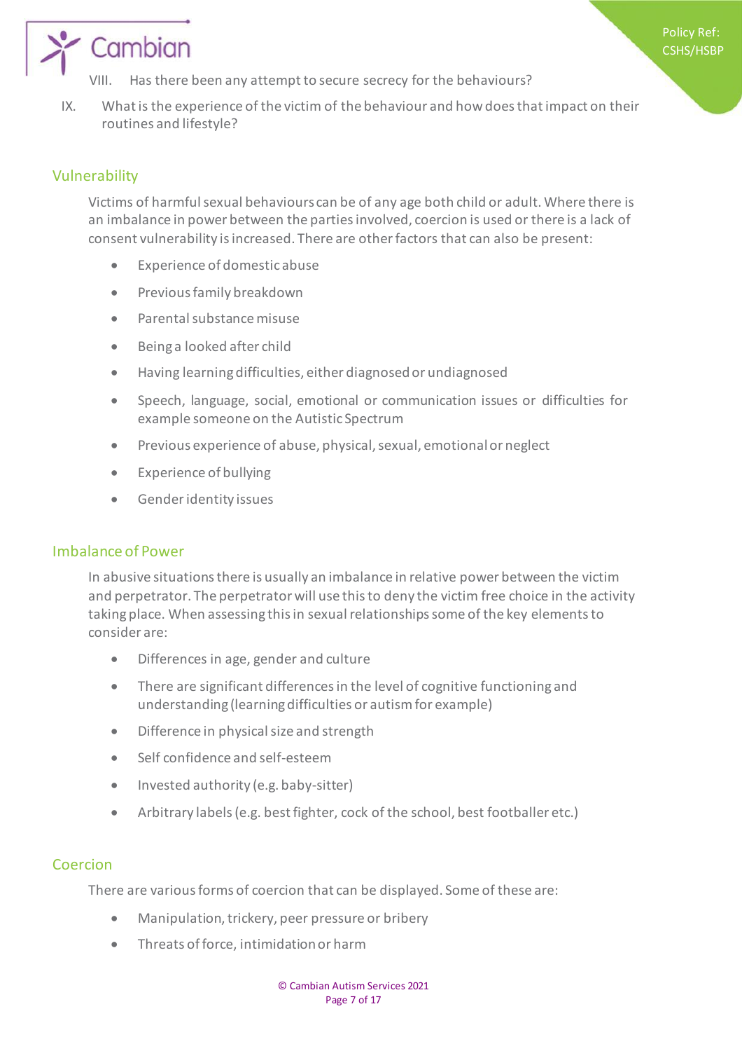- Has there been any attempt to secure secrecy for the behaviours?
- IX. What is the experience of the victim of the behaviour and how does that impact on their routines and lifestyle?

### Vulnerability

Victims of harmful sexual behaviours can be of any age both child or adult. Where there is an imbalance in power between the parties involved, coercion is used or there is a lack of consent vulnerability is increased. There are other factors that can also be present:

- Experience of domestic abuse
- **•** Previous family breakdown
- Parental substance misuse
- Being a looked after child
- Having learning difficulties, either diagnosed or undiagnosed
- Speech, language, social, emotional or communication issues or difficulties for example someone on the Autistic Spectrum
- Previous experience of abuse, physical, sexual, emotional or neglect
- Experience of bullying
- Gender identity issues

#### Imbalance of Power

In abusive situations there is usually an imbalance in relative power between the victim and perpetrator. The perpetrator will use this to deny the victim free choice in the activity taking place. When assessing this in sexual relationships some of the key elements to consider are:

- Differences in age, gender and culture
- There are significant differences in the level of cognitive functioning and understanding (learning difficulties or autism for example)
- Difference in physical size and strength
- Self confidence and self-esteem
- Invested authority (e.g. baby-sitter)
- Arbitrary labels (e.g. best fighter, cock of the school, best footballer etc.)

### **Coercion**

There are various forms of coercion that can be displayed. Some of these are:

- Manipulation, trickery, peer pressure or bribery
- Threats of force, intimidation or harm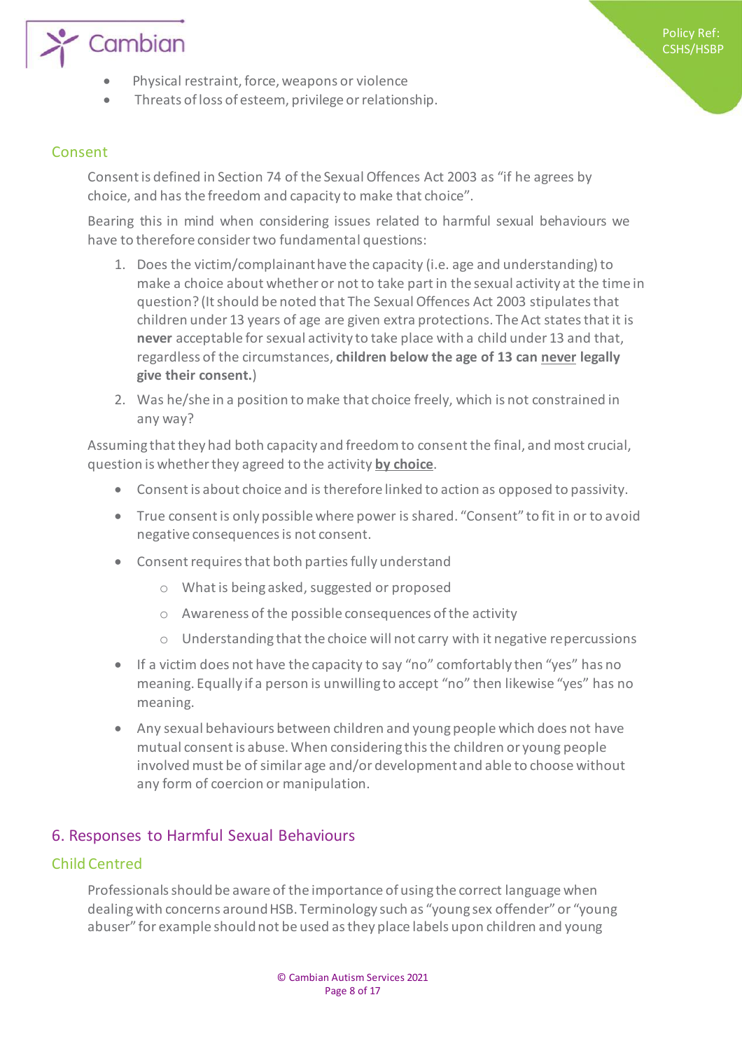

Threats of loss of esteem, privilege or relationship.

#### Consent

Consent is defined in Section 74 of the Sexual Offences Act 2003 as "if he agrees by choice, and has the freedom and capacity to make that choice".

Bearing this in mind when considering issues related to harmful sexual behaviours we have to therefore consider two fundamental questions:

- 1. Does the victim/complainant have the capacity (i.e. age and understanding) to make a choice about whether or not to take part in the sexual activity at the time in question? (It should be noted that The Sexual Offences Act 2003 stipulates that children under 13 years of age are given extra protections. The Act states that it is **never** acceptable for sexual activity to take place with a child under 13 and that, regardless of the circumstances, **children below the age of 13 can never legally give their consent.**)
- 2. Was he/she in a position to make that choice freely, which is not constrained in any way?

Assuming that they had both capacity and freedom to consent the final, and most crucial, question is whether they agreed to the activity **by choice**.

- Consent is about choice and is therefore linked to action as opposed to passivity.
- True consent is only possible where power is shared. "Consent" to fit in or to avoid negative consequences is not consent.
- Consent requires that both parties fully understand
	- o What is being asked, suggested or proposed
	- o Awareness of the possible consequences of the activity
	- o Understanding that the choice will not carry with it negative repercussions
- If a victim does not have the capacity to say "no" comfortably then "yes" has no meaning. Equally if a person is unwilling to accept "no" then likewise "yes" has no meaning.
- Any sexual behaviours between children and young people which does not have mutual consent is abuse. When considering this the children or young people involved must be of similar age and/or development and able to choose without any form of coercion or manipulation.

#### 6. Responses to Harmful Sexual Behaviours

#### Child Centred

Professionals should be aware of the importance of using the correct language when dealing with concerns around HSB. Terminology such as "young sex offender" or "young abuser" for example should not be used as they place labels upon children and young

Policy Ref: CSHS/HSBP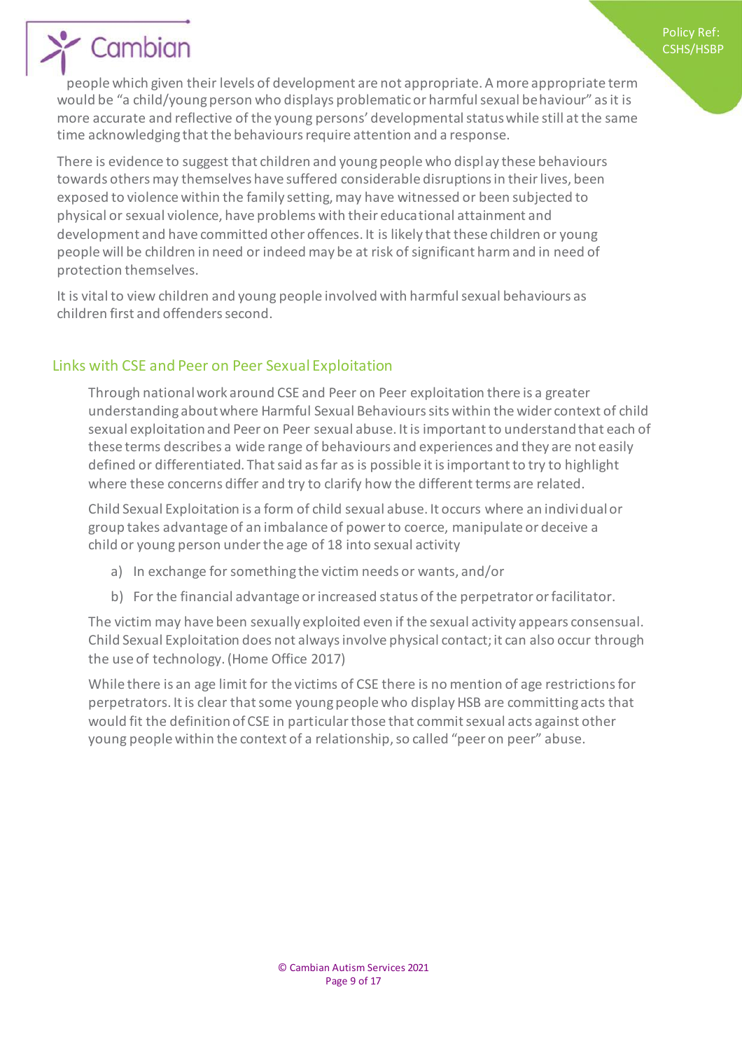people which given their levels of development are not appropriate. A more appropriate term would be "a child/young person who displays problematic or harmful sexual behaviour" as it is more accurate and reflective of the young persons' developmental status while still at the same time acknowledging that the behaviours require attention and a response.

There is evidence to suggest that children and young people who display these behaviours towards others may themselves have suffered considerable disruptions in their lives, been exposed to violence within the family setting, may have witnessed or been subjected to physical or sexual violence, have problems with their educational attainment and development and have committed other offences. It is likely that these children or young people will be children in need or indeed may be at risk of significant harm and in need of protection themselves.

It is vital to view children and young people involved with harmful sexual behaviours as children first and offenders second.

## Links with CSE and Peer on Peer Sexual Exploitation

Through national work around CSE and Peer on Peer exploitation there is a greater understanding about where Harmful Sexual Behaviours sits within the wider context of child sexual exploitation and Peer on Peer sexual abuse. It is important to understand that each of these terms describes a wide range of behaviours and experiences and they are not easily defined or differentiated. That said as far as is possible it is important to try to highlight where these concerns differ and try to clarify how the different terms are related.

Child Sexual Exploitation is a form of child sexual abuse. It occurs where an individual or group takes advantage of an imbalance of power to coerce, manipulate or deceive a child or young person under the age of 18 into sexual activity

- a) In exchange for something the victim needs or wants, and/or
- b) For the financial advantage or increased status of the perpetrator or facilitator.

The victim may have been sexually exploited even if the sexual activity appears consensual. Child Sexual Exploitation does not always involve physical contact; it can also occur through the use of technology. (Home Office 2017)

While there is an age limit for the victims of CSE there is no mention of age restrictions for perpetrators. It is clear that some young people who display HSB are committing acts that would fit the definition of CSE in particular those that commit sexual acts against other young people within the context of a relationship, so called "peer on peer" abuse.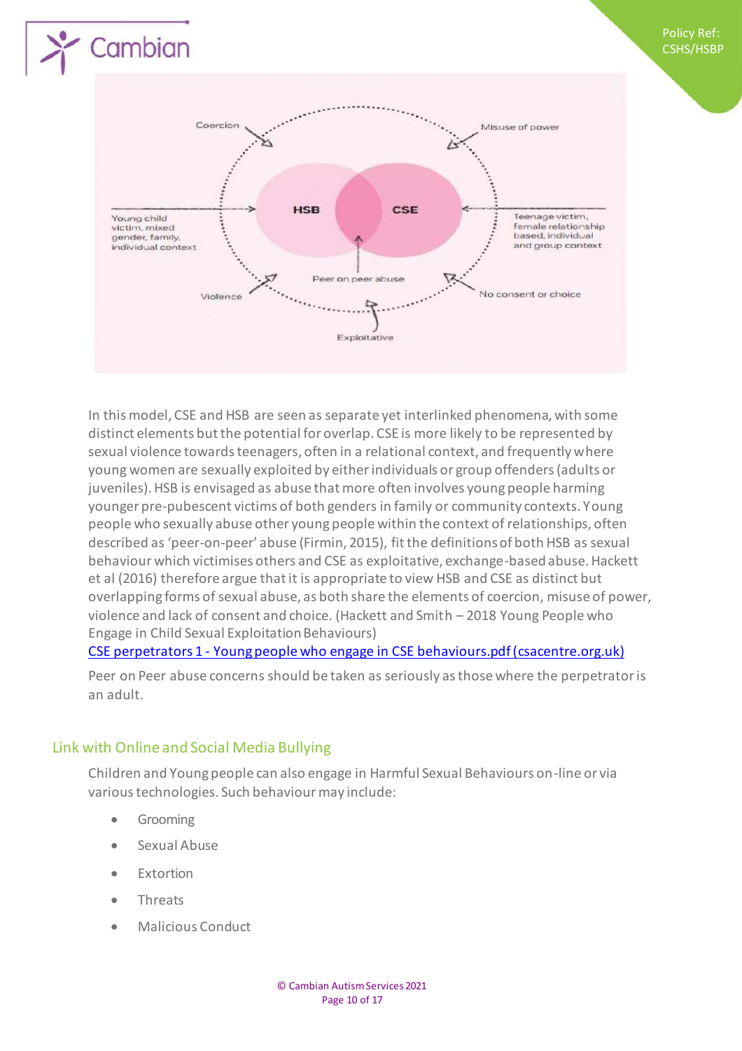

In this model, CSE and HSB are seen as separate yet interlinked phenomena, with some distinct elements but the potential for overlap. CSE is more likely to be represented by sexual violence towards teenagers, often in a relational context, and frequently where young women are sexually exploited by either individuals or group offenders (adults or juveniles). HSB is envisaged as abuse that more often involves young people harming younger pre-pubescent victims of both genders in family or community contexts. Young people who sexually abuse other young people within the context of relationships, often described as 'peer-on-peer' abuse (Firmin, 2015), fit the definitions of both HSB as sexual behaviour which victimises others and CSE as exploitative, exchange-based abuse. Hackett et al (2016) therefore argue that it is appropriate to view HSB and CSE as distinct but overlapping forms of sexual abuse, as both share the elements of coercion, misuse of power, violence and lack of consent and choice. (Hackett and Smith – 2018 Young People who Engage in Child Sexual Exploitation Behaviours)

#### CSE perpetrators 1 - Young people who engage in CSE behaviours.pdf [\(csacentre.org.uk](http://csacentre.org.uk/))

Peer on Peer abuse concerns should be taken as seriously as those where the perpetrator is an adult.

### Link with Online and Social Media Bullying

Children and Young people can also engage in Harmful Sexual Behaviours on-line or via various technologies. Such behaviour may include:

**•** Grooming

Cambian

- Sexual Abuse
- **•** Extortion
- Threats
- Malicious Conduct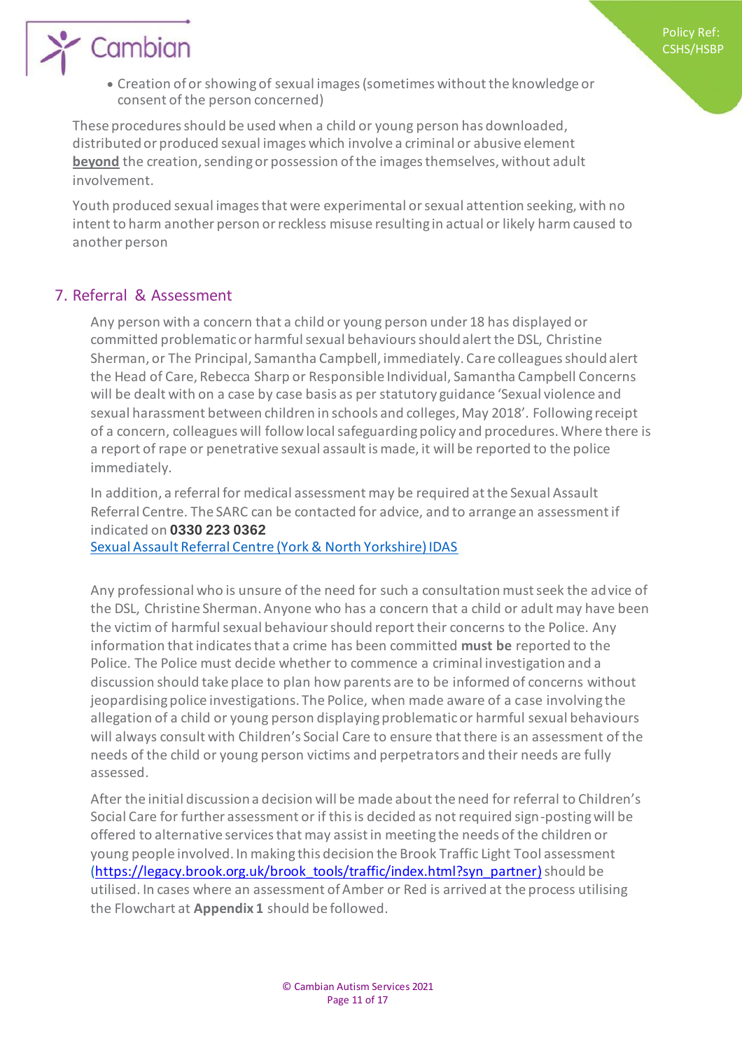Creation of or showing of sexual images (sometimes without the knowledge or consent of the person concerned)

These procedures should be used when a child or young person has downloaded, distributed or produced sexual images which involve a criminal or abusive element **beyond** the creation, sending or possession of the images themselves, without adult involvement.

Youth produced sexual images that were experimental or sexual attention seeking, with no intent to harm another person or reckless misuse resulting in actual or likely harm caused to another person

## 7. Referral & Assessment

Any person with a concern that a child or young person under 18 has displayed or committed problematic or harmful sexual behaviours should alert the DSL, Christine Sherman, or The Principal, Samantha Campbell, immediately. Care colleagues should alert the Head of Care, Rebecca Sharp or Responsible Individual, Samantha Campbell Concerns will be dealt with on a case by case basis as per statutory guidance 'Sexual violence and sexual harassment between children in schools and colleges, May 2018'. Following receipt of a concern, colleagues will follow local safeguarding policy and procedures. Where there is a report of rape or penetrative sexual assault is made, it will be reported to the police immediately.

In addition, a referral for medical assessment may be required at the Sexual Assault Referral Centre. The SARC can be contacted for advice, and to arrange an assessment if indicated on **0330 223 0362** Sexual Assault Referral Centre (York & North Yorkshire) IDAS

Any professional who is unsure of the need for such a consultation must seek the advice of the DSL, Christine Sherman. Anyone who has a concern that a child or adult may have been the victim of harmful sexual behaviour should report their concerns to the Police. Any information that indicates that a crime has been committed **must be** reported to the Police. The Police must decide whether to commence a criminal investigation and a discussion should take place to plan how parents are to be informed of concerns without jeopardising police investigations. The Police, when made aware of a case involving the allegation of a child or young person displaying problematic or harmful sexual behaviours will always consult with Children's Social Care to ensure that there is an assessment of the needs of the child or young person victims and perpetrators and their needs are fully assessed.

After the initial discussion a decision will be made about the need for referral to Children's Social Care for further assessment or if this is decided as not required sign-posting will be offered to alternative services that may assist in meeting the needs of the children or young people involved. In making this decision the Brook Traffic Light Tool assessment [\(https://legacy.brook.org.uk/brook\\_tools/traffic/index.html?syn\\_partner](https://legacy.brook.org.uk/brook_tools/traffic/index.html?syn_partner)))should be utilised. In cases where an assessment of Amber or Red is arrived at the process utilising the Flowchart at **Appendix 1** should be followed.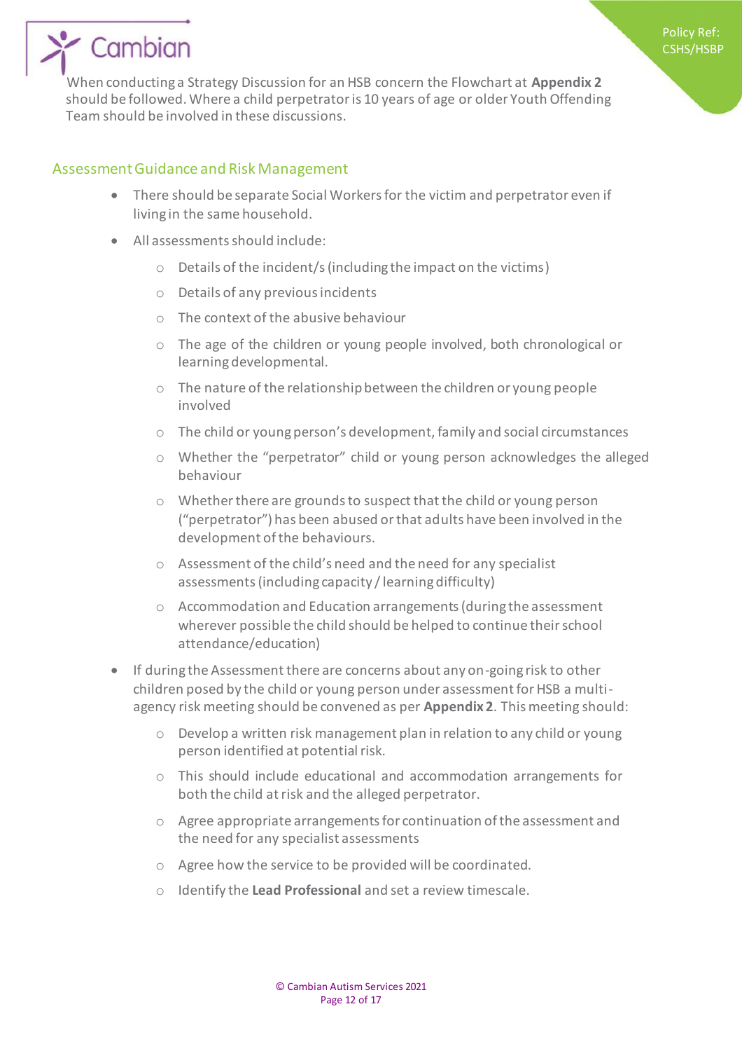# ' Cambian

When conducting a Strategy Discussion for an HSB concern the Flowchart at **Appendix 2**  should be followed. Where a child perpetrator is 10 years of age or older Youth Offending Team should be involved in these discussions.

### Assessment Guidance and Risk Management

- There should be separate Social Workers for the victim and perpetrator even if living in the same household.
- All assessments should include:
	- o Details of the incident/s (including the impact on the victims)
	- o Details of any previous incidents
	- o The context of the abusive behaviour
	- o The age of the children or young people involved, both chronological or learning developmental.
	- o The nature of the relationship between the children or young people involved
	- o The child or young person's development, family and social circumstances
	- o Whether the "perpetrator" child or young person acknowledges the alleged behaviour
	- o Whether there are grounds to suspect that the child or young person ("perpetrator") has been abused or that adults have been involved in the development of the behaviours.
	- o Assessment of the child's need and the need for any specialist assessments (including capacity / learning difficulty)
	- o Accommodation and Education arrangements (during the assessment wherever possible the child should be helped to continue their school attendance/education)
- If during the Assessment there are concerns about any on-going risk to other children posed by the child or young person under assessment for HSB a multiagency risk meeting should be convened as per **Appendix 2**. This meeting should:
	- o Develop a written risk management plan in relation to any child or young person identified at potential risk.
	- $\circ$  This should include educational and accommodation arrangements for both the child at risk and the alleged perpetrator.
	- o Agree appropriate arrangements for continuation of the assessment and the need for any specialist assessments
	- o Agree how the service to be provided will be coordinated.
	- o Identify the **Lead Professional** and set a review timescale.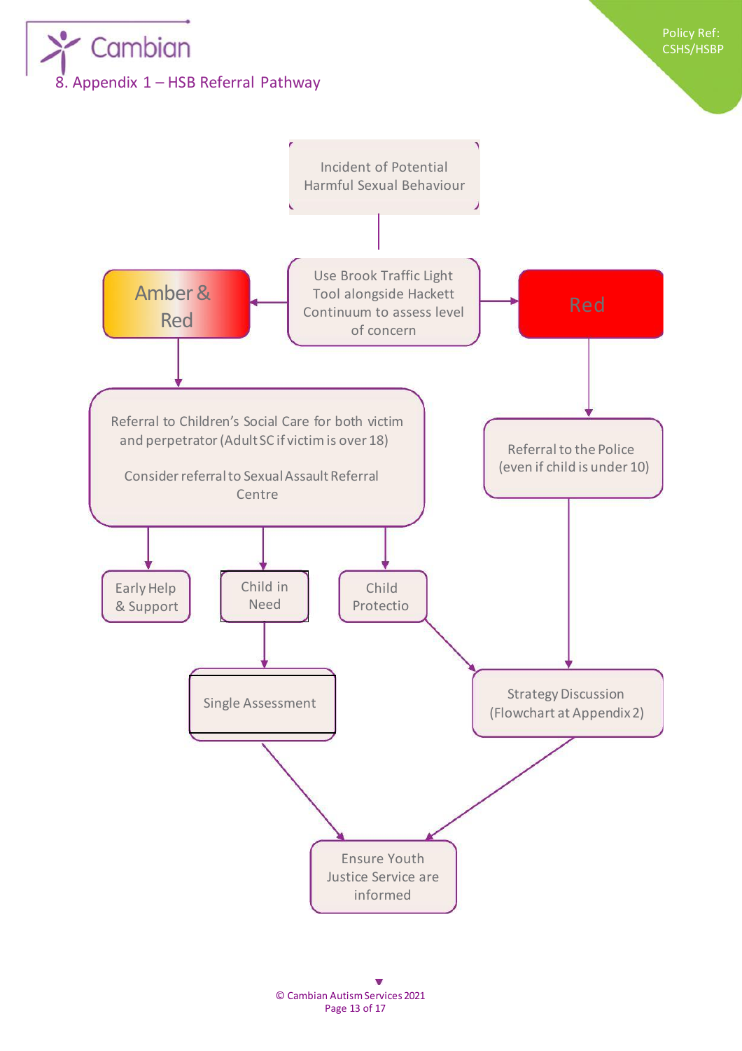



© Cambian Autism Services 2021 Page 13 of 17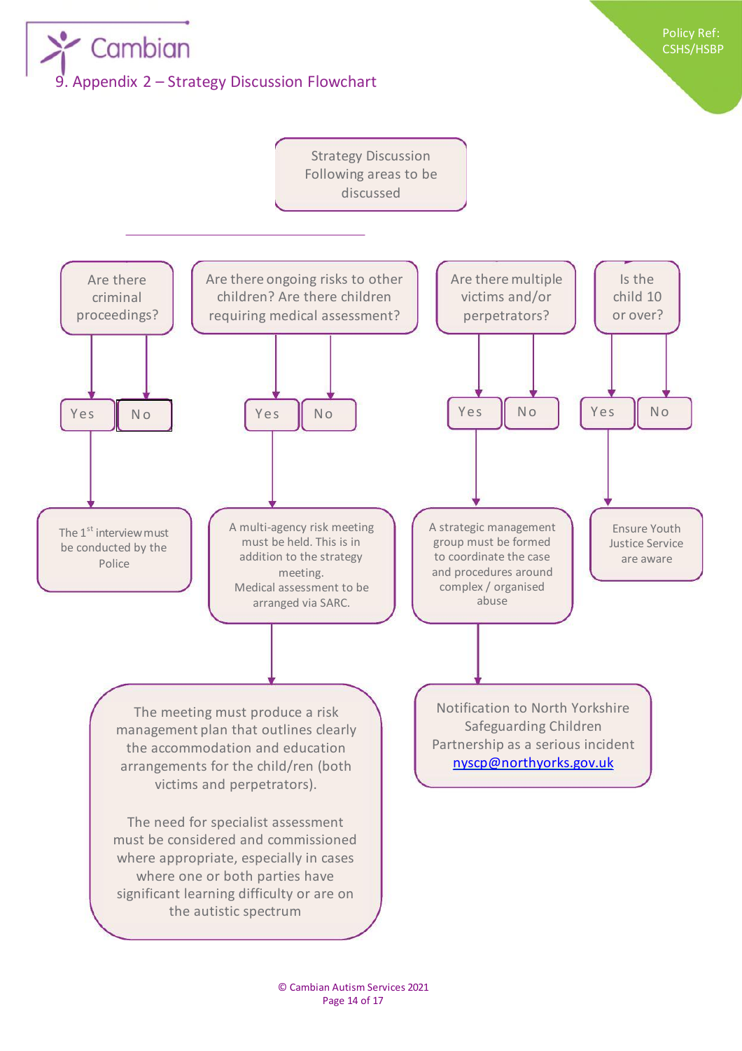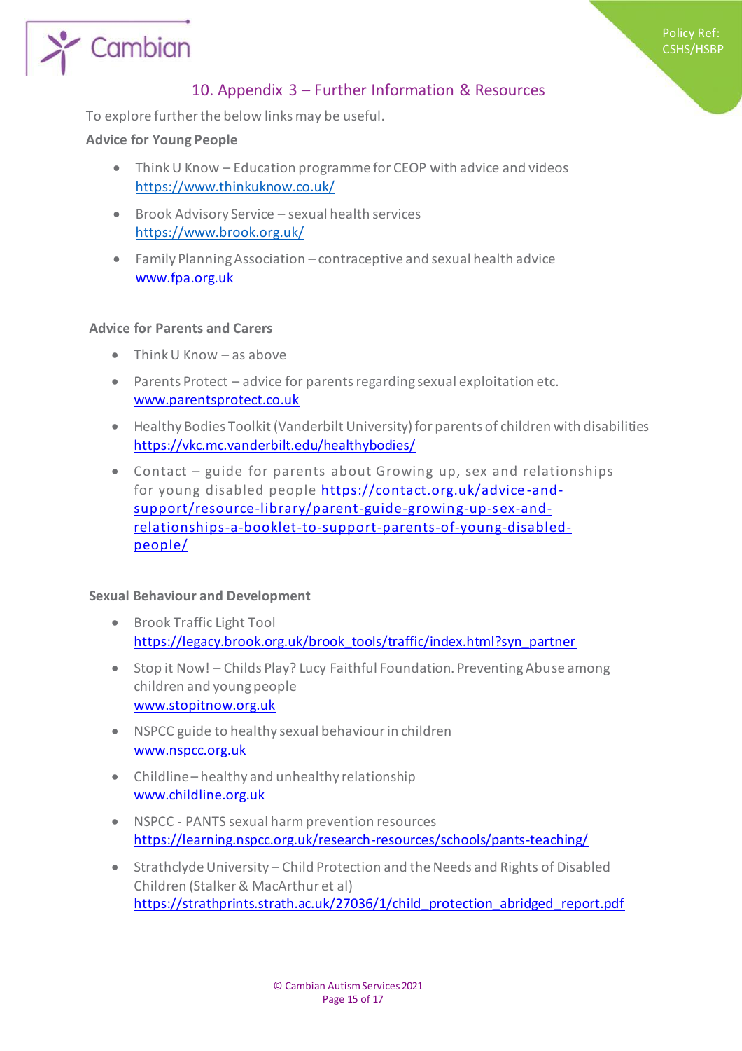

Policy Ref: CSHS/HSBP

To explore further the below links may be useful.

#### **Advice for Young People**

- Think U Know Education programme for CEOP with advice and videos https://www.thinkuknow.co.uk/
- Brook Advisory Service sexual health services https://www.brook.org.uk/
- Family Planning Association contraceptive and sexual health advice [www.fpa.org.uk](http://www.fpa.org.uk/)

#### **Advice for Parents and Carers**

- $\bullet$  Think U Know as above
- Parents Protect advice for parents regarding sexual exploitation etc. [www.parentsprotect.co.uk](http://www.parentsprotect.co.uk/)
- Healthy Bodies Toolkit (Vanderbilt University) for parents of children with disabilities <https://vkc.mc.vanderbilt.edu/healthybodies/>
- Contact guide for parents about Growing up, sex and relationships for young disabled people [https://contact.org.uk/advice](https://contact.org.uk/advice-and-support/resource-library/parent-guide-growing-up-sex-and-relationships-a-booklet-to-support-parents-of-young-disabled-people/)-and[support/resource-library/parent-guide-growin g-up-sex-and](https://contact.org.uk/advice-and-support/resource-library/parent-guide-growing-up-sex-and-relationships-a-booklet-to-support-parents-of-young-disabled-people/)[relationships-a-booklet-to-support-parents-of-young-disabled](https://contact.org.uk/advice-and-support/resource-library/parent-guide-growing-up-sex-and-relationships-a-booklet-to-support-parents-of-young-disabled-people/)[people/](https://contact.org.uk/advice-and-support/resource-library/parent-guide-growing-up-sex-and-relationships-a-booklet-to-support-parents-of-young-disabled-people/)

#### **Sexual Behaviour and Development**

- **•** Brook Traffic Light Tool [https://legacy.brook.org.uk/brook\\_tools/traffic/index.html?syn\\_partner](https://legacy.brook.org.uk/brook_tools/traffic/index.html?syn_partner)
- Stop it Now! Childs Play? Lucy Faithful Foundation. Preventing Abuse among children and young people [www.stopitnow.org.uk](http://www.stopitnow.org.uk/)
- NSPCC guide to healthy sexual behaviour in children [www.nspcc.org.uk](http://www.nspcc.org.uk/)
- Childline healthy and unhealthy relationship [www.childline.org.uk](http://www.childline.org.uk/)
- NSPCC PANTS sexual harm prevention resources <https://learning.nspcc.org.uk/research-resources/schools/pants-teaching/>
- Strathclyde University Child Protection and the Needs and Rights of Disabled Children (Stalker & MacArthur et al) [https://strathprints.strath.ac.uk/27036/1/child\\_protection\\_abridged\\_report.pdf](https://strathprints.strath.ac.uk/27036/1/child_protection_abridged_report.pdf)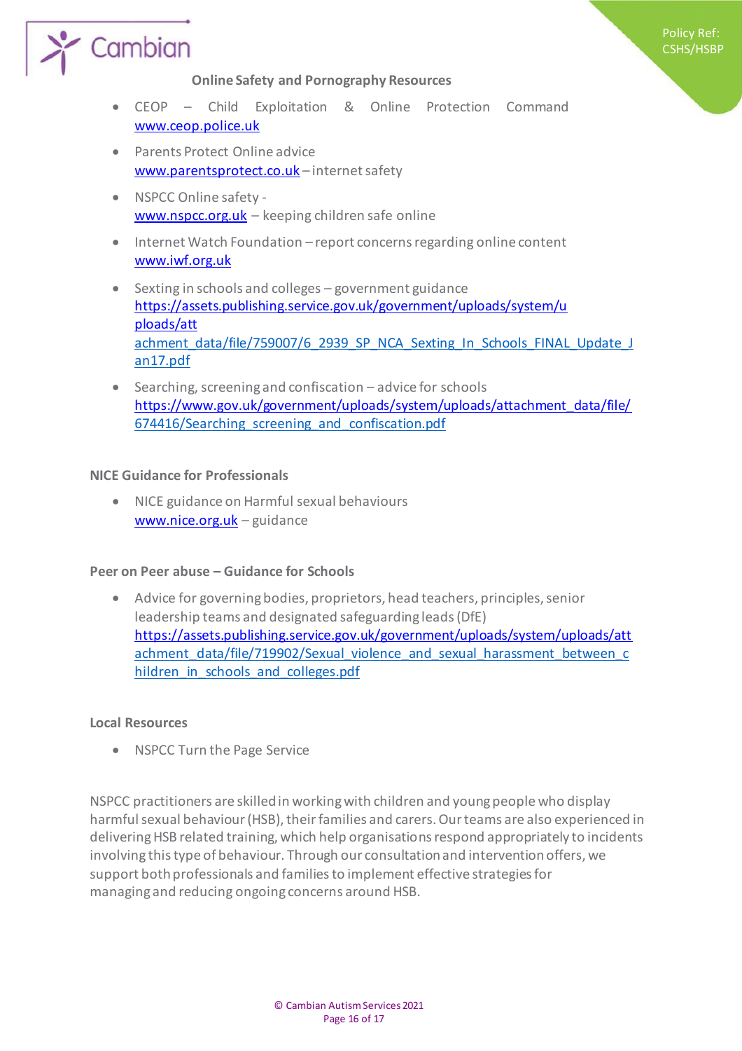

 CEOP – Child Exploitation & Online Protection Command [www.ceop.police.uk](http://www.ceop.police.uk/)

Policy Ref: CSHS/HSBP

- **•** Parents Protect Online advice [www.parentsprotect.co.uk](http://www.parentsprotect.co.uk/) – internet safety
- NSPCC Online safety [www.nspcc.org.uk](http://www.nspcc.org.uk/) – keeping children safe online
- Internet Watch Foundation report concerns regarding online content [www.iwf.org.uk](http://www.iwf.org.uk/)
- $\bullet$  Sexting in schools and colleges government guidance [https://assets.publishing.service.gov.uk/government/uploads/system/u](https://assets.publishing.service.gov.uk/government/uploads/system/uploads/att) [ploads/att](https://assets.publishing.service.gov.uk/government/uploads/system/uploads/att) achment\_data/file/759007/6\_2939\_SP\_NCA\_Sexting\_In\_Schools\_FINAL\_Update\_J an17.pdf
- $\bullet$  Searching, screening and confiscation advice for schools [https://www.gov.uk/government/uploads/system/uploads/attachment\\_data/file/](https://www.gov.uk/government/uploads/system/uploads/attachment_data/file/) 674416/Searching\_screening\_and\_confiscation.pdf

#### **NICE Guidance for Professionals**

 NICE guidance on Harmful sexual behaviours [www.nice.org.uk](http://www.nice.org.uk/) – guidance

#### **Peer on Peer abuse – Guidance for Schools**

 Advice for governing bodies, proprietors, head teachers, principles, senior leadership teams and designated safeguarding leads (DfE) <https://assets.publishing.service.gov.uk/government/uploads/system/uploads/att> achment\_data/file/719902/Sexual\_violence\_and\_sexual\_harassment\_between\_c hildren in schools and colleges.pdf

#### **Local Resources**

NSPCC Turn the Page Service

NSPCC practitioners are skilled in working with children and young people who display harmful sexual behaviour (HSB), their families and carers. Our teams are also experienced in delivering HSB related training, which help organisations respond appropriately to incidents involving this type of behaviour. Through our consultation and intervention offers, we support both professionals and families to implement effective strategies for managing and reducing ongoing concerns around HSB.